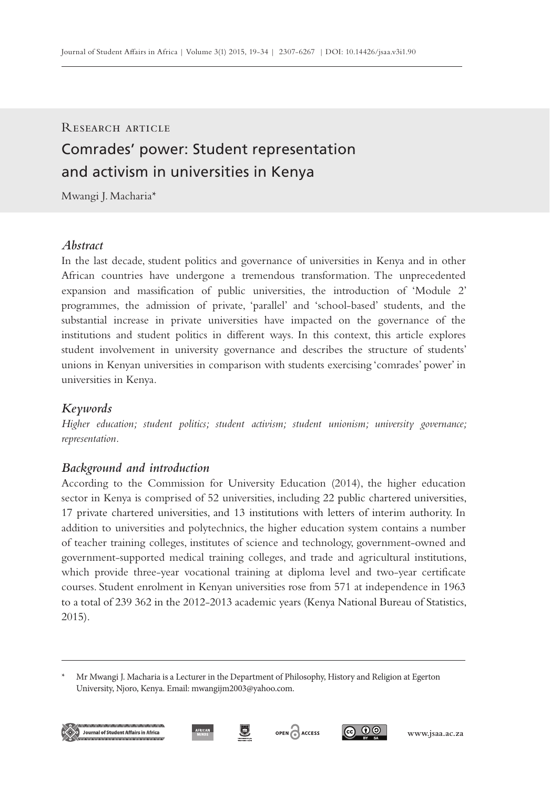# Comrades' power: Student representation and activism in universities in Kenya RESEARCH ARTICLE

Mwangi J. Macharia\*

# *Abstract*

In the last decade, student politics and governance of universities in Kenya and in other African countries have undergone a tremendous transformation. The unprecedented expansion and massification of public universities, the introduction of 'Module 2' programmes, the admission of private, 'parallel' and 'school-based' students, and the substantial increase in private universities have impacted on the governance of the institutions and student politics in different ways. In this context, this article explores student involvement in university governance and describes the structure of students' unions in Kenyan universities in comparison with students exercising 'comrades' power' in universities in Kenya.

# *Keywords*

*Higher education; student politics; student activism; student unionism; university governance; representation.*

# *Background and introduction*

According to the Commission for University Education (2014), the higher education sector in Kenya is comprised of 52 universities, including 22 public chartered universities, 17 private chartered universities, and 13 institutions with letters of interim authority. In addition to universities and polytechnics, the higher education system contains a number of teacher training colleges, institutes of science and technology, government-owned and government-supported medical training colleges, and trade and agricultural institutions, which provide three-year vocational training at diploma level and two-year certificate courses. Student enrolment in Kenyan universities rose from 571 at independence in 1963 to a total of 239 362 in the 2012-2013 academic years (Kenya National Bureau of Statistics, 2015).







Mr Mwangi J. Macharia is a Lecturer in the Department of Philosophy, History and Religion at Egerton University, Njoro, Kenya. Email: mwangijm2003@yahoo.com.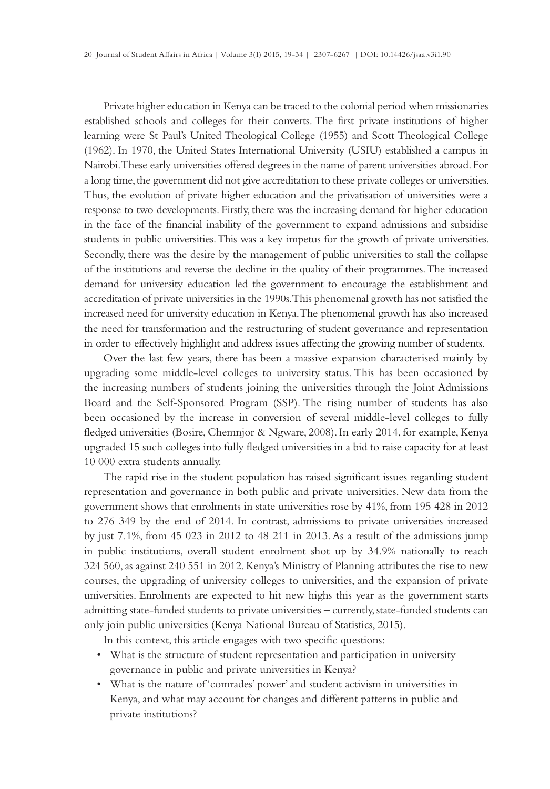Private higher education in Kenya can be traced to the colonial period when missionaries established schools and colleges for their converts. The first private institutions of higher learning were St Paul's United Theological College (1955) and Scott Theological College (1962). In 1970, the United States International University (USIU) established a campus in Nairobi. These early universities offered degrees in the name of parent universities abroad. For a long time, the government did not give accreditation to these private colleges or universities. Thus, the evolution of private higher education and the privatisation of universities were a response to two developments. Firstly, there was the increasing demand for higher education in the face of the financial inability of the government to expand admissions and subsidise students in public universities. This was a key impetus for the growth of private universities. Secondly, there was the desire by the management of public universities to stall the collapse of the institutions and reverse the decline in the quality of their programmes. The increased demand for university education led the government to encourage the establishment and accreditation of private universities in the 1990s. This phenomenal growth has not satisfied the increased need for university education in Kenya. The phenomenal growth has also increased the need for transformation and the restructuring of student governance and representation in order to effectively highlight and address issues affecting the growing number of students.

Over the last few years, there has been a massive expansion characterised mainly by upgrading some middle-level colleges to university status. This has been occasioned by the increasing numbers of students joining the universities through the Joint Admissions Board and the Self-Sponsored Program (SSP). The rising number of students has also been occasioned by the increase in conversion of several middle-level colleges to fully fledged universities (Bosire, Chemnjor & Ngware, 2008). In early 2014, for example, Kenya upgraded 15 such colleges into fully fledged universities in a bid to raise capacity for at least 10 000 extra students annually.

The rapid rise in the student population has raised significant issues regarding student representation and governance in both public and private universities. New data from the government shows that enrolments in state universities rose by 41%, from 195 428 in 2012 to 276 349 by the end of 2014. In contrast, admissions to private universities increased by just 7.1%, from 45 023 in 2012 to 48 211 in 2013. As a result of the admissions jump in public institutions, overall student enrolment shot up by 34.9% nationally to reach 324 560, as against 240 551 in 2012. Kenya's Ministry of Planning attributes the rise to new courses, the upgrading of university colleges to universities, and the expansion of private universities. Enrolments are expected to hit new highs this year as the government starts admitting state-funded students to private universities – currently, state-funded students can only join public universities (Kenya National Bureau of Statistics, 2015).

In this context, this article engages with two specific questions:

- What is the structure of student representation and participation in university governance in public and private universities in Kenya?
- What is the nature of 'comrades' power' and student activism in universities in Kenya, and what may account for changes and different patterns in public and private institutions?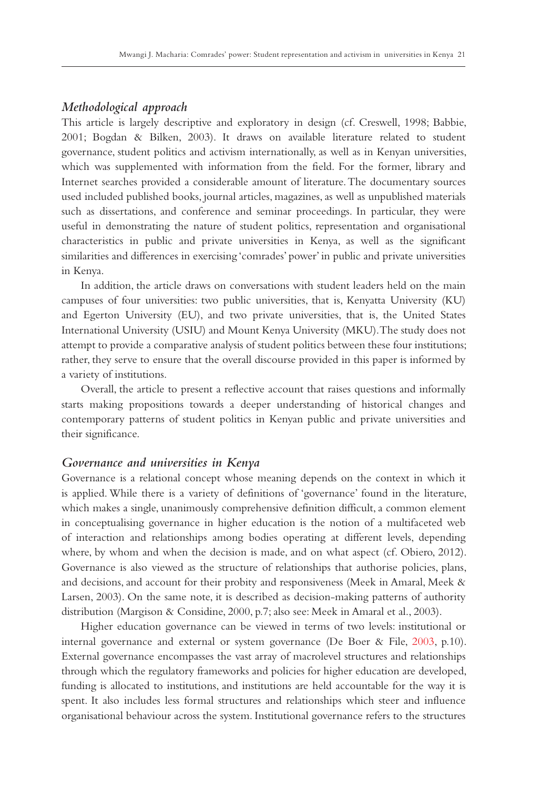# *Methodological approach*

This article is largely descriptive and exploratory in design (cf. Creswell, 1998; Babbie, 2001; Bogdan & Bilken, 2003). It draws on available literature related to student governance, student politics and activism internationally, as well as in Kenyan universities, which was supplemented with information from the field. For the former, library and Internet searches provided a considerable amount of literature. The documentary sources used included published books, journal articles, magazines, as well as unpublished materials such as dissertations, and conference and seminar proceedings. In particular, they were useful in demonstrating the nature of student politics, representation and organisational characteristics in public and private universities in Kenya, as well as the significant similarities and differences in exercising 'comrades' power' in public and private universities in Kenya.

In addition, the article draws on conversations with student leaders held on the main campuses of four universities: two public universities, that is, Kenyatta University (KU) and Egerton University (EU), and two private universities, that is, the United States International University (USIU) and Mount Kenya University (MKU). The study does not attempt to provide a comparative analysis of student politics between these four institutions; rather, they serve to ensure that the overall discourse provided in this paper is informed by a variety of institutions.

Overall, the article to present a reflective account that raises questions and informally starts making propositions towards a deeper understanding of historical changes and contemporary patterns of student politics in Kenyan public and private universities and their significance.

#### *Governance and universities in Kenya*

Governance is a relational concept whose meaning depends on the context in which it is applied. While there is a variety of definitions of 'governance' found in the literature, which makes a single, unanimously comprehensive definition difficult, a common element in conceptualising governance in higher education is the notion of a multifaceted web of interaction and relationships among bodies operating at different levels, depending where, by whom and when the decision is made, and on what aspect (cf. Obiero, 2012). Governance is also viewed as the structure of relationships that authorise policies, plans, and decisions, and account for their probity and responsiveness (Meek in Amaral, Meek & Larsen, 2003). On the same note, it is described as decision-making patterns of authority distribution (Margison & Considine, 2000, p.7; also see: Meek in Amaral et al., 2003).

Higher education governance can be viewed in terms of two levels: institutional or internal governance and external or system governance (De Boer & File, 2003, p.10). External governance encompasses the vast array of macrolevel structures and relationships through which the regulatory frameworks and policies for higher education are developed, funding is allocated to institutions, and institutions are held accountable for the way it is spent. It also includes less formal structures and relationships which steer and influence organisational behaviour across the system. Institutional governance refers to the structures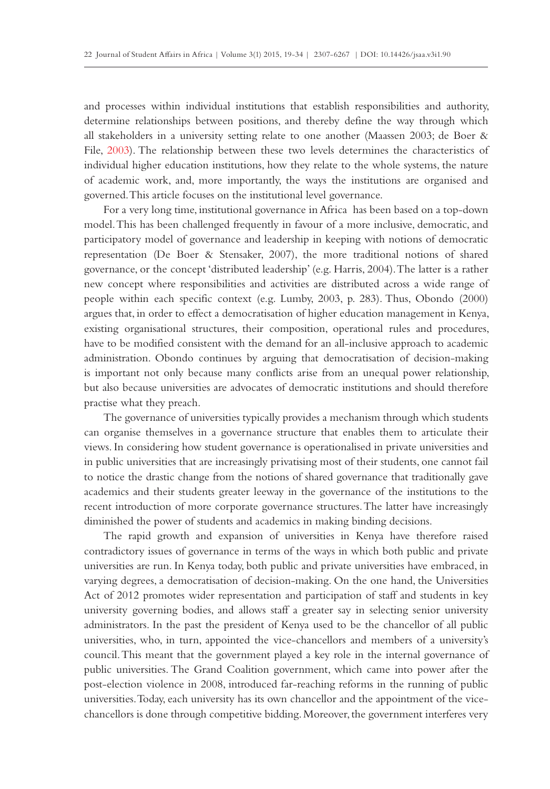and processes within individual institutions that establish responsibilities and authority, determine relationships between positions, and thereby define the way through which all stakeholders in a university setting relate to one another (Maassen 2003; de Boer & File, 2003). The relationship between these two levels determines the characteristics of individual higher education institutions, how they relate to the whole systems, the nature of academic work, and, more importantly, the ways the institutions are organised and governed. This article focuses on the institutional level governance.

For a very long time, institutional governance in Africa has been based on a top-down model. This has been challenged frequently in favour of a more inclusive, democratic, and participatory model of governance and leadership in keeping with notions of democratic representation (De Boer & Stensaker, 2007), the more traditional notions of shared governance, or the concept 'distributed leadership' (e.g. Harris, 2004). The latter is a rather new concept where responsibilities and activities are distributed across a wide range of people within each specific context (e.g. Lumby, 2003, p. 283). Thus, Obondo (2000) argues that, in order to effect a democratisation of higher education management in Kenya, existing organisational structures, their composition, operational rules and procedures, have to be modified consistent with the demand for an all-inclusive approach to academic administration. Obondo continues by arguing that democratisation of decision-making is important not only because many conflicts arise from an unequal power relationship, but also because universities are advocates of democratic institutions and should therefore practise what they preach.

The governance of universities typically provides a mechanism through which students can organise themselves in a governance structure that enables them to articulate their views. In considering how student governance is operationalised in private universities and in public universities that are increasingly privatising most of their students, one cannot fail to notice the drastic change from the notions of shared governance that traditionally gave academics and their students greater leeway in the governance of the institutions to the recent introduction of more corporate governance structures. The latter have increasingly diminished the power of students and academics in making binding decisions.

The rapid growth and expansion of universities in Kenya have therefore raised contradictory issues of governance in terms of the ways in which both public and private universities are run. In Kenya today, both public and private universities have embraced, in varying degrees, a democratisation of decision-making. On the one hand, the Universities Act of 2012 promotes wider representation and participation of staff and students in key university governing bodies, and allows staff a greater say in selecting senior university administrators. In the past the president of Kenya used to be the chancellor of all public universities, who, in turn, appointed the vice-chancellors and members of a university's council. This meant that the government played a key role in the internal governance of public universities. The Grand Coalition government, which came into power after the post-election violence in 2008, introduced far-reaching reforms in the running of public universities. Today, each university has its own chancellor and the appointment of the vicechancellors is done through competitive bidding. Moreover, the government interferes very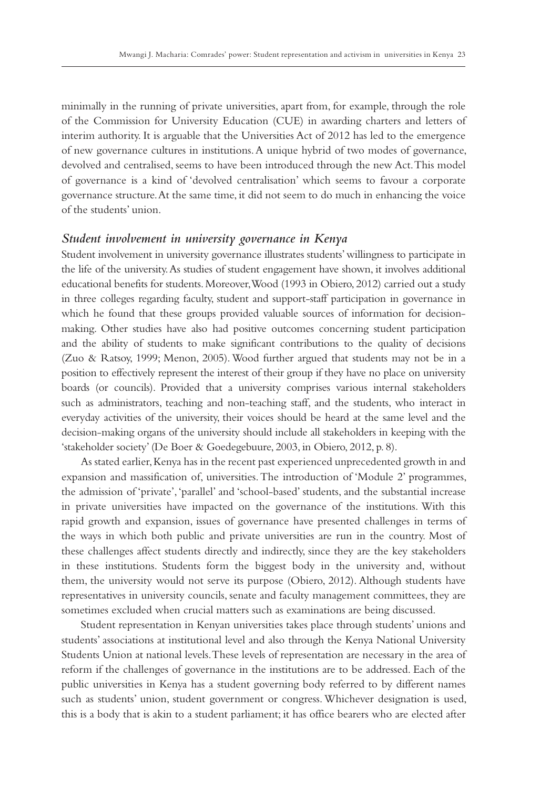minimally in the running of private universities, apart from, for example, through the role of the Commission for University Education (CUE) in awarding charters and letters of interim authority. It is arguable that the Universities Act of 2012 has led to the emergence of new governance cultures in institutions. A unique hybrid of two modes of governance, devolved and centralised, seems to have been introduced through the new Act. This model of governance is a kind of 'devolved centralisation' which seems to favour a corporate governance structure. At the same time, it did not seem to do much in enhancing the voice of the students' union.

#### *Student involvement in university governance in Kenya*

Student involvement in university governance illustrates students' willingness to participate in the life of the university. As studies of student engagement have shown, it involves additional educational benefits for students. Moreover, Wood (1993 in Obiero, 2012) carried out a study in three colleges regarding faculty, student and support-staff participation in governance in which he found that these groups provided valuable sources of information for decisionmaking. Other studies have also had positive outcomes concerning student participation and the ability of students to make significant contributions to the quality of decisions (Zuo & Ratsoy, 1999; Menon, 2005). Wood further argued that students may not be in a position to effectively represent the interest of their group if they have no place on university boards (or councils). Provided that a university comprises various internal stakeholders such as administrators, teaching and non-teaching staff, and the students, who interact in everyday activities of the university, their voices should be heard at the same level and the decision-making organs of the university should include all stakeholders in keeping with the 'stakeholder society' (De Boer & Goedegebuure, 2003, in Obiero, 2012, p. 8).

As stated earlier, Kenya has in the recent past experienced unprecedented growth in and expansion and massification of, universities. The introduction of 'Module 2' programmes, the admission of 'private', 'parallel' and 'school-based' students, and the substantial increase in private universities have impacted on the governance of the institutions. With this rapid growth and expansion, issues of governance have presented challenges in terms of the ways in which both public and private universities are run in the country. Most of these challenges affect students directly and indirectly, since they are the key stakeholders in these institutions. Students form the biggest body in the university and, without them, the university would not serve its purpose (Obiero, 2012). Although students have representatives in university councils, senate and faculty management committees, they are sometimes excluded when crucial matters such as examinations are being discussed.

Student representation in Kenyan universities takes place through students' unions and students' associations at institutional level and also through the Kenya National University Students Union at national levels. These levels of representation are necessary in the area of reform if the challenges of governance in the institutions are to be addressed. Each of the public universities in Kenya has a student governing body referred to by different names such as students' union, student government or congress. Whichever designation is used, this is a body that is akin to a student parliament; it has office bearers who are elected after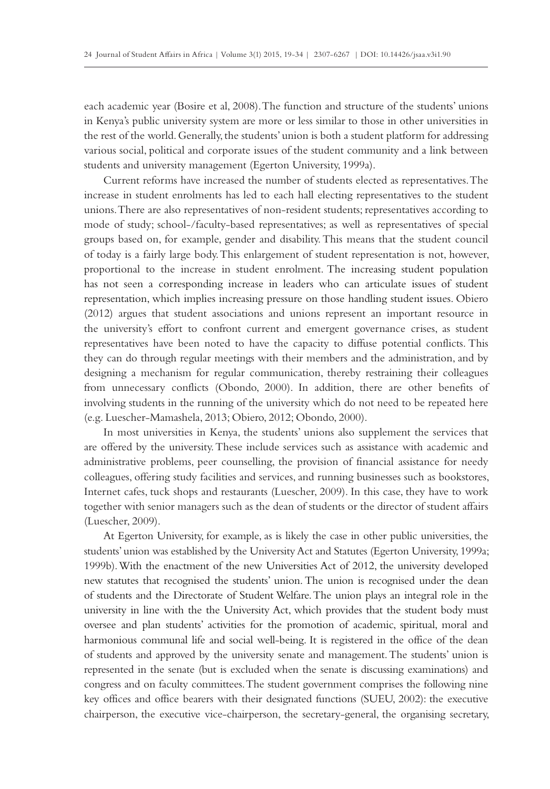each academic year (Bosire et al, 2008). The function and structure of the students' unions in Kenya's public university system are more or less similar to those in other universities in the rest of the world. Generally, the students' union is both a student platform for addressing various social, political and corporate issues of the student community and a link between students and university management (Egerton University, 1999a).

Current reforms have increased the number of students elected as representatives. The increase in student enrolments has led to each hall electing representatives to the student unions. There are also representatives of non-resident students; representatives according to mode of study; school-/faculty-based representatives; as well as representatives of special groups based on, for example, gender and disability. This means that the student council of today is a fairly large body. This enlargement of student representation is not, however, proportional to the increase in student enrolment. The increasing student population has not seen a corresponding increase in leaders who can articulate issues of student representation, which implies increasing pressure on those handling student issues. Obiero (2012) argues that student associations and unions represent an important resource in the university's effort to confront current and emergent governance crises, as student representatives have been noted to have the capacity to diffuse potential conflicts. This they can do through regular meetings with their members and the administration, and by designing a mechanism for regular communication, thereby restraining their colleagues from unnecessary conflicts (Obondo, 2000). In addition, there are other benefits of involving students in the running of the university which do not need to be repeated here (e.g. Luescher-Mamashela, 2013; Obiero, 2012; Obondo, 2000).

In most universities in Kenya, the students' unions also supplement the services that are offered by the university. These include services such as assistance with academic and administrative problems, peer counselling, the provision of financial assistance for needy colleagues, offering study facilities and services, and running businesses such as bookstores, Internet cafes, tuck shops and restaurants (Luescher, 2009). In this case, they have to work together with senior managers such as the dean of students or the director of student affairs (Luescher, 2009).

At Egerton University, for example, as is likely the case in other public universities, the students' union was established by the University Act and Statutes (Egerton University, 1999a; 1999b). With the enactment of the new Universities Act of 2012, the university developed new statutes that recognised the students' union. The union is recognised under the dean of students and the Directorate of Student Welfare. The union plays an integral role in the university in line with the the University Act, which provides that the student body must oversee and plan students' activities for the promotion of academic, spiritual, moral and harmonious communal life and social well-being. It is registered in the office of the dean of students and approved by the university senate and management. The students' union is represented in the senate (but is excluded when the senate is discussing examinations) and congress and on faculty committees. The student government comprises the following nine key offices and office bearers with their designated functions (SUEU, 2002): the executive chairperson, the executive vice-chairperson, the secretary-general, the organising secretary,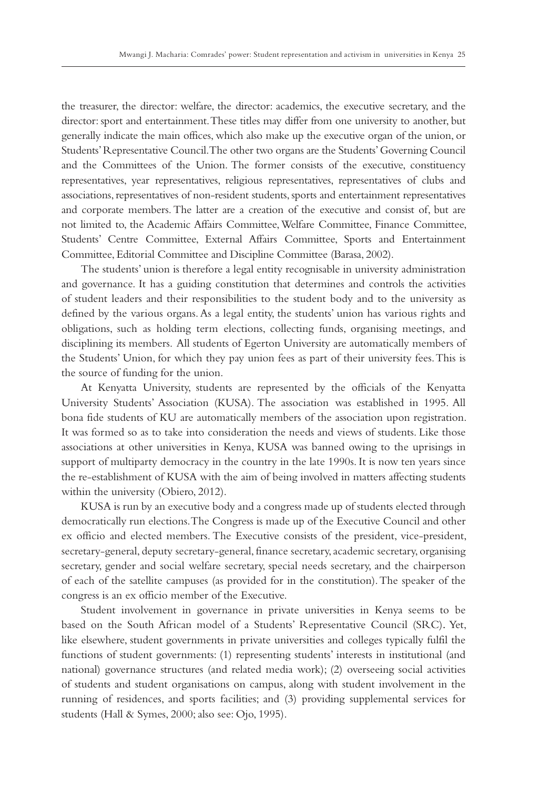the treasurer, the director: welfare, the director: academics, the executive secretary, and the director: sport and entertainment. These titles may differ from one university to another, but generally indicate the main offices, which also make up the executive organ of the union, or Students' Representative Council. The other two organs are the Students' Governing Council and the Committees of the Union. The former consists of the executive, constituency representatives, year representatives, religious representatives, representatives of clubs and associations, representatives of non-resident students, sports and entertainment representatives and corporate members. The latter are a creation of the executive and consist of, but are not limited to, the Academic Affairs Committee, Welfare Committee, Finance Committee, Students' Centre Committee, External Affairs Committee, Sports and Entertainment Committee, Editorial Committee and Discipline Committee (Barasa, 2002).

The students' union is therefore a legal entity recognisable in university administration and governance. It has a guiding constitution that determines and controls the activities of student leaders and their responsibilities to the student body and to the university as defined by the various organs. As a legal entity, the students' union has various rights and obligations, such as holding term elections, collecting funds, organising meetings, and disciplining its members. All students of Egerton University are automatically members of the Students' Union, for which they pay union fees as part of their university fees. This is the source of funding for the union.

At Kenyatta University, students are represented by the officials of the Kenyatta University Students' Association (KUSA). The association was established in 1995. All bona fide students of KU are automatically members of the association upon registration. It was formed so as to take into consideration the needs and views of students. Like those associations at other universities in Kenya, KUSA was banned owing to the uprisings in support of multiparty democracy in the country in the late 1990s. It is now ten years since the re-establishment of KUSA with the aim of being involved in matters affecting students within the university (Obiero, 2012).

KUSA is run by an executive body and a congress made up of students elected through democratically run elections. The Congress is made up of the Executive Council and other ex officio and elected members. The Executive consists of the president, vice-president, secretary-general, deputy secretary-general, finance secretary, academic secretary, organising secretary, gender and social welfare secretary, special needs secretary, and the chairperson of each of the satellite campuses (as provided for in the constitution). The speaker of the congress is an ex officio member of the Executive.

Student involvement in governance in private universities in Kenya seems to be based on the South African model of a Students' Representative Council (SRC). Yet, like elsewhere, student governments in private universities and colleges typically fulfil the functions of student governments: (1) representing students' interests in institutional (and national) governance structures (and related media work); (2) overseeing social activities of students and student organisations on campus, along with student involvement in the running of residences, and sports facilities; and (3) providing supplemental services for students (Hall & Symes, 2000; also see: Ojo, 1995).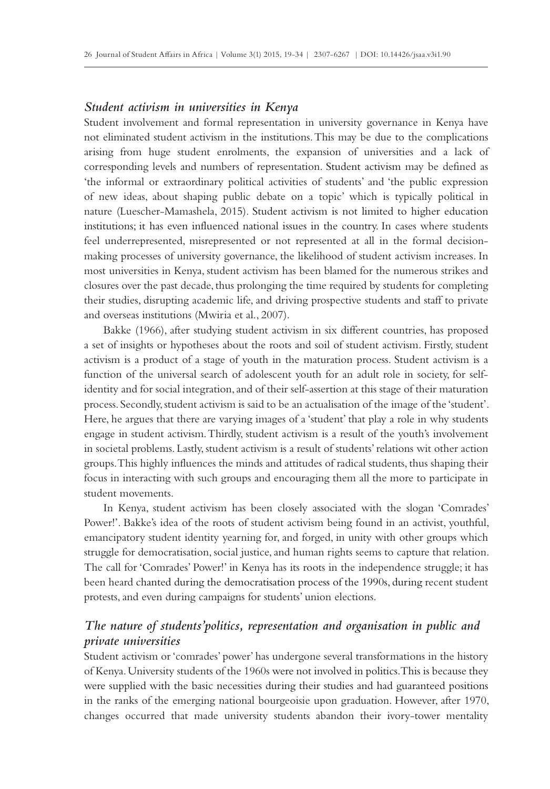#### *Student activism in universities in Kenya*

Student involvement and formal representation in university governance in Kenya have not eliminated student activism in the institutions. This may be due to the complications arising from huge student enrolments, the expansion of universities and a lack of corresponding levels and numbers of representation. Student activism may be defined as 'the informal or extraordinary political activities of students' and 'the public expression of new ideas, about shaping public debate on a topic' which is typically political in nature (Luescher-Mamashela, 2015). Student activism is not limited to higher education institutions; it has even influenced national issues in the country. In cases where students feel underrepresented, misrepresented or not represented at all in the formal decisionmaking processes of university governance, the likelihood of student activism increases. In most universities in Kenya, student activism has been blamed for the numerous strikes and closures over the past decade, thus prolonging the time required by students for completing their studies, disrupting academic life, and driving prospective students and staff to private and overseas institutions (Mwiria et al., 2007).

Bakke (1966), after studying student activism in six different countries, has proposed a set of insights or hypotheses about the roots and soil of student activism. Firstly, student activism is a product of a stage of youth in the maturation process. Student activism is a function of the universal search of adolescent youth for an adult role in society, for selfidentity and for social integration, and of their self-assertion at this stage of their maturation process. Secondly, student activism is said to be an actualisation of the image of the 'student'. Here, he argues that there are varying images of a 'student' that play a role in why students engage in student activism. Thirdly, student activism is a result of the youth's involvement in societal problems. Lastly, student activism is a result of students' relations wit other action groups. This highly influences the minds and attitudes of radical students, thus shaping their focus in interacting with such groups and encouraging them all the more to participate in student movements.

In Kenya, student activism has been closely associated with the slogan 'Comrades' Power!'. Bakke's idea of the roots of student activism being found in an activist, youthful, emancipatory student identity yearning for, and forged, in unity with other groups which struggle for democratisation, social justice, and human rights seems to capture that relation. The call for 'Comrades' Power!' in Kenya has its roots in the independence struggle; it has been heard chanted during the democratisation process of the 1990s, during recent student protests, and even during campaigns for students' union elections.

# *The nature of students'politics, representation and organisation in public and private universities*

Student activism or 'comrades' power' has undergone several transformations in the history of Kenya. University students of the 1960s were not involved in politics. This is because they were supplied with the basic necessities during their studies and had guaranteed positions in the ranks of the emerging national bourgeoisie upon graduation. However, after 1970, changes occurred that made university students abandon their ivory-tower mentality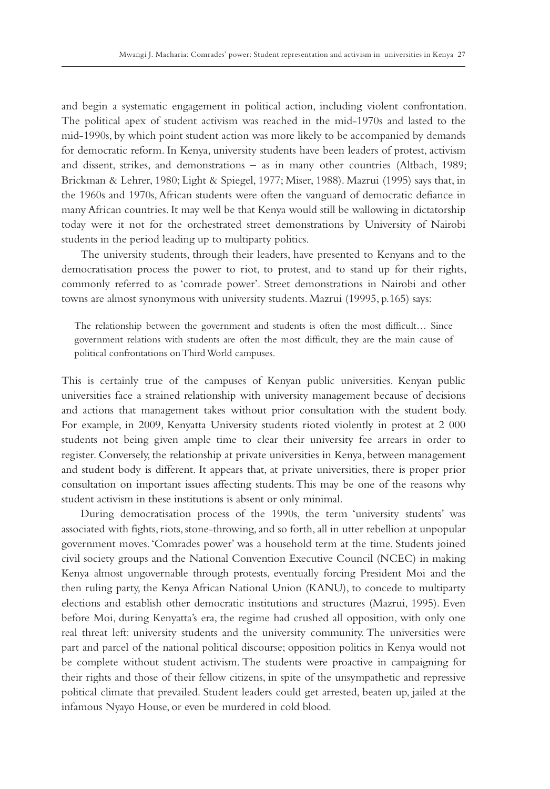and begin a systematic engagement in political action, including violent confrontation. The political apex of student activism was reached in the mid-1970s and lasted to the mid-1990s, by which point student action was more likely to be accompanied by demands for democratic reform. In Kenya, university students have been leaders of protest, activism and dissent, strikes, and demonstrations – as in many other countries (Altbach, 1989; Brickman & Lehrer, 1980; Light & Spiegel, 1977; Miser, 1988). Mazrui (1995) says that, in the 1960s and 1970s, African students were often the vanguard of democratic defiance in many African countries. It may well be that Kenya would still be wallowing in dictatorship today were it not for the orchestrated street demonstrations by University of Nairobi students in the period leading up to multiparty politics.

The university students, through their leaders, have presented to Kenyans and to the democratisation process the power to riot, to protest, and to stand up for their rights, commonly referred to as 'comrade power'. Street demonstrations in Nairobi and other towns are almost synonymous with university students. Mazrui (19995, p.165) says:

The relationship between the government and students is often the most difficult… Since government relations with students are often the most difficult, they are the main cause of political confrontations on Third World campuses.

This is certainly true of the campuses of Kenyan public universities. Kenyan public universities face a strained relationship with university management because of decisions and actions that management takes without prior consultation with the student body. For example, in 2009, Kenyatta University students rioted violently in protest at 2 000 students not being given ample time to clear their university fee arrears in order to register. Conversely, the relationship at private universities in Kenya, between management and student body is different. It appears that, at private universities, there is proper prior consultation on important issues affecting students. This may be one of the reasons why student activism in these institutions is absent or only minimal.

During democratisation process of the 1990s, the term 'university students' was associated with fights, riots, stone-throwing, and so forth, all in utter rebellion at unpopular government moves. 'Comrades power' was a household term at the time. Students joined civil society groups and the National Convention Executive Council (NCEC) in making Kenya almost ungovernable through protests, eventually forcing President Moi and the then ruling party, the Kenya African National Union (KANU), to concede to multiparty elections and establish other democratic institutions and structures (Mazrui, 1995). Even before Moi, during Kenyatta's era, the regime had crushed all opposition, with only one real threat left: university students and the university community. The universities were part and parcel of the national political discourse; opposition politics in Kenya would not be complete without student activism. The students were proactive in campaigning for their rights and those of their fellow citizens, in spite of the unsympathetic and repressive political climate that prevailed. Student leaders could get arrested, beaten up, jailed at the infamous Nyayo House, or even be murdered in cold blood.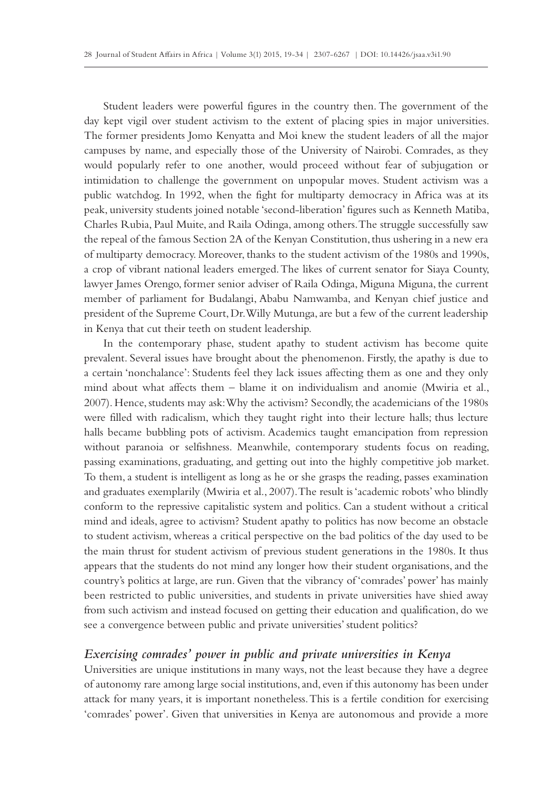Student leaders were powerful figures in the country then. The government of the day kept vigil over student activism to the extent of placing spies in major universities. The former presidents Jomo Kenyatta and Moi knew the student leaders of all the major campuses by name, and especially those of the University of Nairobi. Comrades, as they would popularly refer to one another, would proceed without fear of subjugation or intimidation to challenge the government on unpopular moves. Student activism was a public watchdog. In 1992, when the fight for multiparty democracy in Africa was at its peak, university students joined notable 'second-liberation' figures such as Kenneth Matiba, Charles Rubia, Paul Muite, and Raila Odinga, among others. The struggle successfully saw the repeal of the famous Section 2A of the Kenyan Constitution, thus ushering in a new era of multiparty democracy. Moreover, thanks to the student activism of the 1980s and 1990s, a crop of vibrant national leaders emerged. The likes of current senator for Siaya County, lawyer James Orengo, former senior adviser of Raila Odinga, Miguna Miguna, the current member of parliament for Budalangi, Ababu Namwamba, and Kenyan chief justice and president of the Supreme Court, Dr. Willy Mutunga, are but a few of the current leadership in Kenya that cut their teeth on student leadership.

In the contemporary phase, student apathy to student activism has become quite prevalent. Several issues have brought about the phenomenon. Firstly, the apathy is due to a certain 'nonchalance': Students feel they lack issues affecting them as one and they only mind about what affects them – blame it on individualism and anomie (Mwiria et al., 2007). Hence, students may ask: Why the activism? Secondly, the academicians of the 1980s were filled with radicalism, which they taught right into their lecture halls; thus lecture halls became bubbling pots of activism. Academics taught emancipation from repression without paranoia or selfishness. Meanwhile, contemporary students focus on reading, passing examinations, graduating, and getting out into the highly competitive job market. To them, a student is intelligent as long as he or she grasps the reading, passes examination and graduates exemplarily (Mwiria et al., 2007). The result is 'academic robots' who blindly conform to the repressive capitalistic system and politics. Can a student without a critical mind and ideals, agree to activism? Student apathy to politics has now become an obstacle to student activism, whereas a critical perspective on the bad politics of the day used to be the main thrust for student activism of previous student generations in the 1980s. It thus appears that the students do not mind any longer how their student organisations, and the country's politics at large, are run. Given that the vibrancy of 'comrades' power' has mainly been restricted to public universities, and students in private universities have shied away from such activism and instead focused on getting their education and qualification, do we see a convergence between public and private universities' student politics?

# *Exercising comrades' power in public and private universities in Kenya*

Universities are unique institutions in many ways, not the least because they have a degree of autonomy rare among large social institutions, and, even if this autonomy has been under attack for many years, it is important nonetheless. This is a fertile condition for exercising 'comrades' power'. Given that universities in Kenya are autonomous and provide a more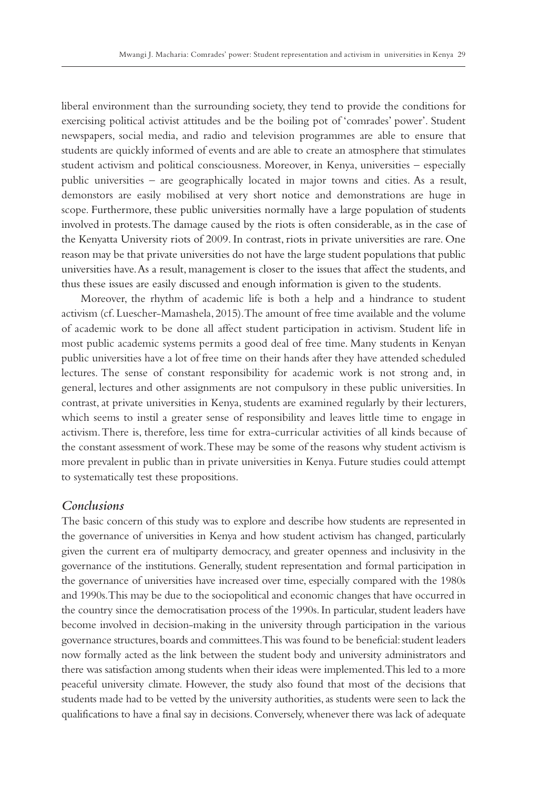liberal environment than the surrounding society, they tend to provide the conditions for exercising political activist attitudes and be the boiling pot of 'comrades' power'. Student newspapers, social media, and radio and television programmes are able to ensure that students are quickly informed of events and are able to create an atmosphere that stimulates student activism and political consciousness. Moreover, in Kenya, universities – especially public universities – are geographically located in major towns and cities. As a result, demonstors are easily mobilised at very short notice and demonstrations are huge in scope. Furthermore, these public universities normally have a large population of students involved in protests. The damage caused by the riots is often considerable, as in the case of the Kenyatta University riots of 2009. In contrast, riots in private universities are rare. One reason may be that private universities do not have the large student populations that public universities have. As a result, management is closer to the issues that affect the students, and thus these issues are easily discussed and enough information is given to the students.

Moreover, the rhythm of academic life is both a help and a hindrance to student activism (cf. Luescher-Mamashela, 2015). The amount of free time available and the volume of academic work to be done all affect student participation in activism. Student life in most public academic systems permits a good deal of free time. Many students in Kenyan public universities have a lot of free time on their hands after they have attended scheduled lectures. The sense of constant responsibility for academic work is not strong and, in general, lectures and other assignments are not compulsory in these public universities. In contrast, at private universities in Kenya, students are examined regularly by their lecturers, which seems to instil a greater sense of responsibility and leaves little time to engage in activism. There is, therefore, less time for extra-curricular activities of all kinds because of the constant assessment of work. These may be some of the reasons why student activism is more prevalent in public than in private universities in Kenya. Future studies could attempt to systematically test these propositions.

# *Conclusions*

The basic concern of this study was to explore and describe how students are represented in the governance of universities in Kenya and how student activism has changed, particularly given the current era of multiparty democracy, and greater openness and inclusivity in the governance of the institutions. Generally, student representation and formal participation in the governance of universities have increased over time, especially compared with the 1980s and 1990s. This may be due to the sociopolitical and economic changes that have occurred in the country since the democratisation process of the 1990s. In particular, student leaders have become involved in decision-making in the university through participation in the various governance structures, boards and committees. This was found to be beneficial: student leaders now formally acted as the link between the student body and university administrators and there was satisfaction among students when their ideas were implemented. This led to a more peaceful university climate. However, the study also found that most of the decisions that students made had to be vetted by the university authorities, as students were seen to lack the qualifications to have a final say in decisions. Conversely, whenever there was lack of adequate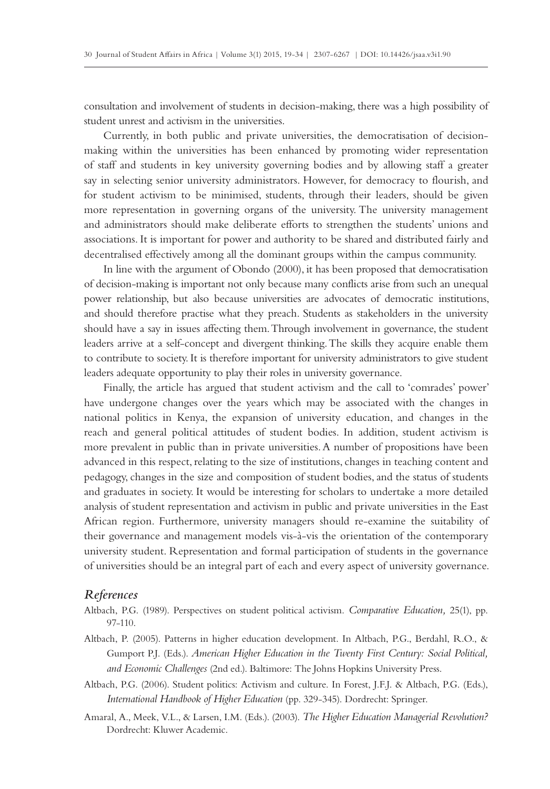consultation and involvement of students in decision-making, there was a high possibility of student unrest and activism in the universities.

Currently, in both public and private universities, the democratisation of decisionmaking within the universities has been enhanced by promoting wider representation of staff and students in key university governing bodies and by allowing staff a greater say in selecting senior university administrators. However, for democracy to flourish, and for student activism to be minimised, students, through their leaders, should be given more representation in governing organs of the university. The university management and administrators should make deliberate efforts to strengthen the students' unions and associations. It is important for power and authority to be shared and distributed fairly and decentralised effectively among all the dominant groups within the campus community.

In line with the argument of Obondo (2000), it has been proposed that democratisation of decision-making is important not only because many conflicts arise from such an unequal power relationship, but also because universities are advocates of democratic institutions, and should therefore practise what they preach. Students as stakeholders in the university should have a say in issues affecting them. Through involvement in governance, the student leaders arrive at a self-concept and divergent thinking. The skills they acquire enable them to contribute to society. It is therefore important for university administrators to give student leaders adequate opportunity to play their roles in university governance.

Finally, the article has argued that student activism and the call to 'comrades' power' have undergone changes over the years which may be associated with the changes in national politics in Kenya, the expansion of university education, and changes in the reach and general political attitudes of student bodies. In addition, student activism is more prevalent in public than in private universities. A number of propositions have been advanced in this respect, relating to the size of institutions, changes in teaching content and pedagogy, changes in the size and composition of student bodies, and the status of students and graduates in society. It would be interesting for scholars to undertake a more detailed analysis of student representation and activism in public and private universities in the East African region. Furthermore, university managers should re-examine the suitability of their governance and management models vis-à-vis the orientation of the contemporary university student. Representation and formal participation of students in the governance of universities should be an integral part of each and every aspect of university governance.

#### *References*

- Altbach, P.G. (1989). Perspectives on student political activism. *Comparative Education,* 25(1), pp. 97-110.
- Altbach, P. (2005). Patterns in higher education development. In Altbach, P.G., Berdahl, R.O., & Gumport P.J. (Eds.). *American Higher Education in the Twenty First Century: Social Political, and Economic Challenges* (2nd ed.). Baltimore: The Johns Hopkins University Press.
- Altbach, P.G. (2006). Student politics: Activism and culture. In Forest, J.F.J. & Altbach, P.G. (Eds.), *International Handbook of Higher Education* (pp. 329-345). Dordrecht: Springer.
- Amaral, A., Meek, V.L., & Larsen, I.M. (Eds.). (2003). *The Higher Education Managerial Revolution?* Dordrecht: Kluwer Academic.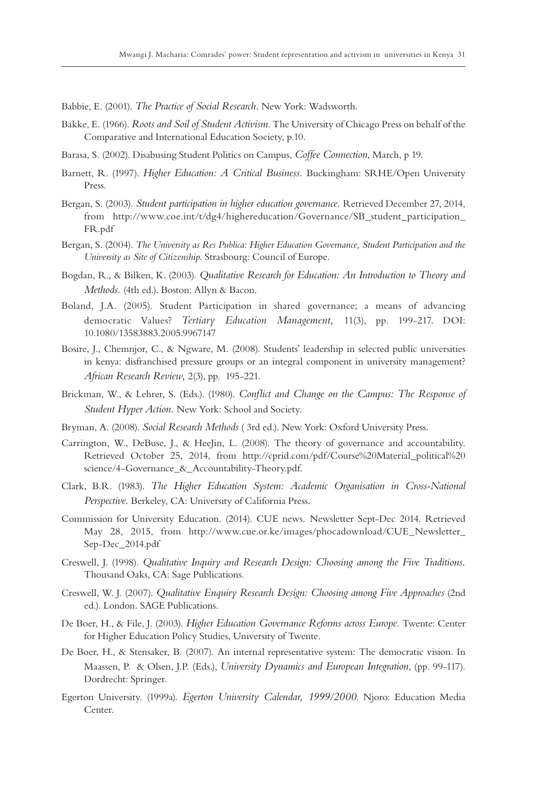Babbie, E. (2001). *The Practice of Social Research.* New York: Wadsworth.

- Bakke, E. (1966). *Roots and Soil of Student Activism*. The University of Chicago Press on behalf of the Comparative and International Education Society, p.10.
- Barasa, S. (2002). Disabusing Student Politics on Campus, *Coffee Connection*, March, p 19.
- Barnett, R. (1997). *Higher Education: A Critical Business.* Buckingham: SRHE/Open University Press.
- Bergan, S. (2003). *Student participation in higher education governance.* Retrieved December 27, 2014, from http://www.coe.int/t/dg4/highereducation/Governance/SB\_student\_participation\_ FR.pdf
- Bergan, S. (2004). *The University as Res Publica: Higher Education Governance, Student Participation and the University as Site of Citizenship*. Strasbourg: Council of Europe.
- Bogdan, R., & Bilken, K. (2003). *Qualitative Research for Education: An Introduction to Theory and Methods.* (4th ed.). Boston: Allyn & Bacon.
- Boland, J.A. (2005). Student Participation in shared governance; a means of advancing democratic Values? *Tertiary Education Management,* 11(3), pp. 199-217. DOI: 10.1080/13583883.2005.9967147
- Bosire, J., Chemnjor, C., & Ngware, M. (2008). Students' leadership in selected public universities in kenya: disfranchised pressure groups or an integral component in university management? *African Research Review,* 2(3), pp. 195-221.
- Brickman, W., & Lehrer, S. (Eds.). (1980). *Conflict and Change on the Campus: The Response of Student Hyper Action.* New York: School and Society.
- Bryman, A. (2008). *Social Research Methods* ( 3rd ed.). New York: Oxford University Press.
- Carrington, W., DeBuse, J., & HeeJin, L. (2008). The theory of governance and accountability. Retrieved October 25, 2014, from http://cprid.com/pdf/Course%20Material\_political%20 science/4-Governance\_&\_Accountability-Theory.pdf.
- Clark, B.R. (1983). *The Higher Education System: Academic Organisation in Cross-National Perspective.* Berkeley, CA: University of California Press.
- Commission for University Education. (2014). CUE news. Newsletter Sept-Dec 2014. Retrieved May 28, 2015, from http://www.cue.or.ke/images/phocadownload/CUE\_Newsletter\_ Sep-Dec\_2014.pdf
- Creswell, J. (1998). *Qualitative Inquiry and Research Design: Choosing among the Five Traditions.*  Thousand Oaks, CA: Sage Publications.
- Creswell, W. J. (2007). *Qualitative Enquiry Research Design: Choosing among Five Approaches* (2nd ed.). London. SAGE Publications.
- De Boer, H., & File, J. (2003). *Higher Education Governance Reforms across Europe.* Twente: Center for Higher Education Policy Studies, University of Twente.
- De Boer, H., & Stensaker, B. (2007). An internal representative system: The democratic vision. In Maassen, P. & Olsen, J.P. (Eds.), *University Dynamics and European Integration*, (pp. 99-117). Dordrecht: Springer.
- Egerton University. (1999a). *Egerton University Calendar, 1999/2000*. Njoro: Education Media Center.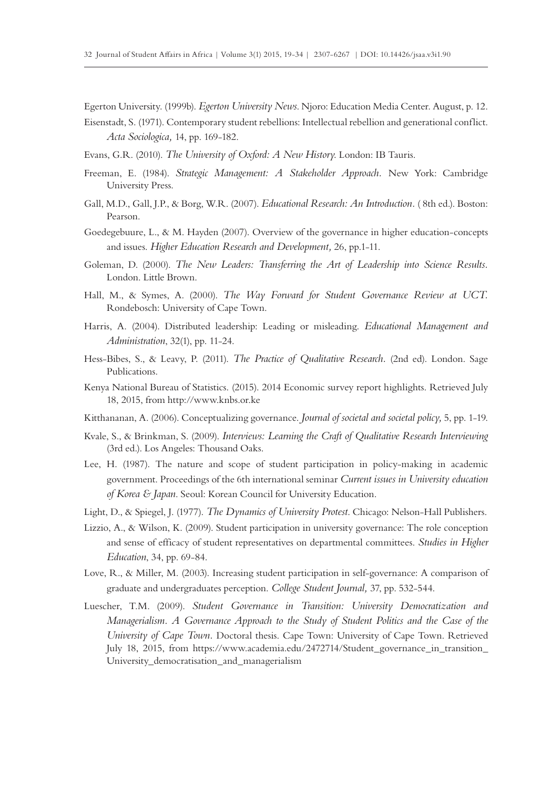Egerton University. (1999b). *Egerton University News*. Njoro: Education Media Center. August, p. 12.

- Eisenstadt, S. (1971). Contemporary student rebellions: Intellectual rebellion and generational conflict. *Acta Sociologica,* 14, pp. 169-182.
- Evans, G.R. (2010). *The University of Oxford: A New History*. London: IB Tauris.
- Freeman, E. (1984). *Strategic Management: A Stakeholder Approach.* New York: Cambridge University Press.
- Gall, M.D., Gall, J.P., & Borg, W.R. (2007). *Educational Research: An Introduction.* ( 8th ed.). Boston: Pearson.
- Goedegebuure, L., & M. Hayden (2007). Overview of the governance in higher education-concepts and issues. *Higher Education Research and Development,* 26, pp.1-11.
- Goleman, D. (2000). *The New Leaders: Transferring the Art of Leadership into Science Results.* London. Little Brown.
- Hall, M., & Symes, A. (2000). *The Way Forward for Student Governance Review at UCT.*  Rondebosch: University of Cape Town.
- Harris, A. (2004). Distributed leadership: Leading or misleading. *Educational Management and Administration*, 32(1), pp. 11-24.
- Hess-Bibes, S., & Leavy, P. (2011). *The Practice of Qualitative Research.* (2nd ed). London. Sage Publications.
- Kenya National Bureau of Statistics. (2015). 2014 Economic survey report highlights. Retrieved July 18, 2015, from http://www.knbs.or.ke
- Kitthananan, A. (2006). Conceptualizing governance. *Journal of societal and societal policy,* 5, pp. 1-19.
- Kvale, S., & Brinkman, S. (2009). *Interviews: Learning the Craft of Qualitative Research Interviewing* (3rd ed.). Los Angeles: Thousand Oaks.
- Lee, H. (1987). The nature and scope of student participation in policy-making in academic government. Proceedings of the 6th international seminar *Current issues in University education of Korea & Japan*. Seoul: Korean Council for University Education.
- Light, D., & Spiegel, J. (1977). *The Dynamics of University Protest*. Chicago: Nelson-Hall Publishers.
- Lizzio, A., & Wilson, K. (2009). Student participation in university governance: The role conception and sense of efficacy of student representatives on departmental committees. *Studies in Higher Education*, 34, pp. 69-84.
- Love, R., & Miller, M. (2003). Increasing student participation in self-governance: A comparison of graduate and undergraduates perception. *College Student Journal,* 37, pp. 532-544.
- Luescher, T.M. (2009). *Student Governance in Transition: University Democratization and Managerialism. A Governance Approach to the Study of Student Politics and the Case of the University of Cape Town.* Doctoral thesis. Cape Town: University of Cape Town. Retrieved July 18, 2015, from https://www.academia.edu/2472714/Student\_governance\_in\_transition\_ University\_democratisation\_and\_managerialism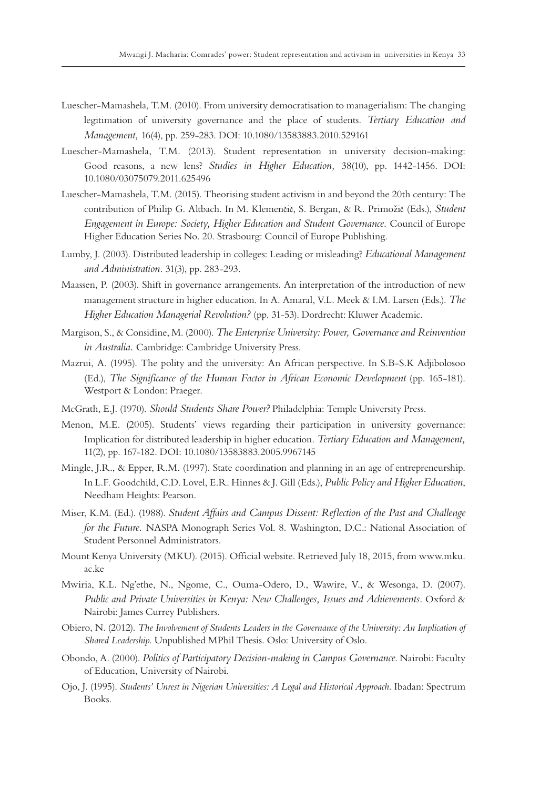- Luescher-Mamashela, T.M. (2010). From university democratisation to managerialism: The changing legitimation of university governance and the place of students. *Tertiary Education and Management,* 16(4), pp. 259-283. DOI: 10.1080/13583883.2010.529161
- Luescher-Mamashela, T.M. (2013). Student representation in university decision-making: Good reasons, a new lens? *Studies in Higher Education,* 38(10), pp. 1442-1456. DOI: 10.1080/03075079.2011.625496
- Luescher-Mamashela, T.M. (2015). Theorising student activism in and beyond the 20th century: The contribution of Philip G. Altbach. In M. Klemenčič, S. Bergan, & R. Primožič (Eds.), *Student Engagement in Europe: Society, Higher Education and Student Governance.* Council of Europe Higher Education Series No. 20. Strasbourg: Council of Europe Publishing.
- Lumby, J. (2003). Distributed leadership in colleges: Leading or misleading? *Educational Management and Administration.* 31(3), pp. 283-293*.*
- Maassen, P. (2003). Shift in governance arrangements. An interpretation of the introduction of new management structure in higher education. In A. Amaral, V.L. Meek & I.M. Larsen (Eds.). *The Higher Education Managerial Revolution?* (pp. 31-53). Dordrecht: Kluwer Academic.
- Margison, S., & Considine, M. (2000). *The Enterprise University: Power, Governance and Reinvention in Australia.* Cambridge: Cambridge University Press.
- Mazrui, A. (1995). The polity and the university: An African perspective. In S.B-S.K Adjibolosoo (Ed.), *The Significance of the Human Factor in African Economic Development* (pp. 165-181). Westport & London: Praeger.
- McGrath, E.J. (1970). *Should Students Share Power?* Philadelphia: Temple University Press.
- Menon, M.E. (2005). Students' views regarding their participation in university governance: Implication for distributed leadership in higher education. *Tertiary Education and Management,* 11(2), pp. 167-182. DOI: 10.1080/13583883.2005.9967145
- Mingle, J.R., & Epper, R.M. (1997). State coordination and planning in an age of entrepreneurship. In L.F. Goodchild, C.D. Lovel, E.R. Hinnes & J. Gill (Eds.), *Public Policy and Higher Education*, Needham Heights: Pearson.
- Miser, K.M. (Ed.). (1988). *Student Affairs and Campus Dissent: Reflection of the Past and Challenge for the Future.* NASPA Monograph Series Vol. 8. Washington, D.C.: National Association of Student Personnel Administrators.
- Mount Kenya University (MKU). (2015). Official website. Retrieved July 18, 2015, from www.mku. ac.ke
- Mwiria, K.L. Ng'ethe, N., Ngome, C., Ouma-Odero, D., Wawire, V., & Wesonga, D. (2007). *Public and Private Universities in Kenya: New Challenges, Issues and Achievements.* Oxford & Nairobi: James Currey Publishers.
- Obiero, N. (2012). *The Involvement of Students Leaders in the Governance of the University: An Implication of Shared Leadership*. Unpublished MPhil Thesis. Oslo: University of Oslo.
- Obondo, A. (2000). *Politics of Participatory Decision-making in Campus Governance*. Nairobi: Faculty of Education, University of Nairobi.
- Ojo, J. (1995). *Students' Unrest in Nigerian Universities: A Legal and Historical Approach*. Ibadan: Spectrum Books.